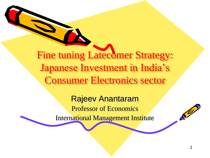Fine tuning Latecomer Strategy: Japanese Investment in India's Consumer Electronics sector

> Rajeev Anantaram Professor of Economics International Management Institute

 $\mathcal{S}^2$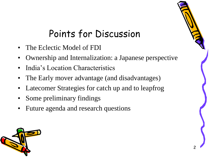# Points for Discussion

- The Eclectic Model of FDI
- Ownership and Internalization: a Japanese perspective
- India's Location Characteristics
- The Early mover advantage (and disadvantages)
- Latecomer Strategies for catch up and to leapfrog
- Some preliminary findings
- Future agenda and research questions



2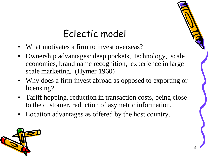### Eclectic model

- What motivates a firm to invest overseas?
- Ownership advantages: deep pockets, technology, scale economies, brand name recognition, experience in large scale marketing. (Hymer 1960)
- Why does a firm invest abroad as opposed to exporting or licensing?
- Tariff hopping, reduction in transaction costs, being close to the customer, reduction of asymetric information.
- Location advantages as offered by the host country.

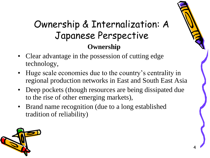#### Ownership & Internalization: A Japanese Perspective **Ownership**

- Clear advantage in the possession of cutting edge technology,
- Huge scale economies due to the country's centrality in regional production networks in East and South East Asia
- Deep pockets (though resources are being dissipated due to the rise of other emerging markets),
- Brand name recognition (due to a long established tradition of reliability)

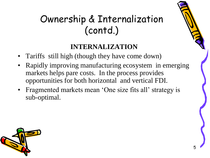# Ownership & Internalization (contd.)

#### **INTERNALIZATION**

- Tariffs still high (though they have come down)
- Rapidly improving manufacturing ecosystem in emerging markets helps pare costs. In the process provides opportunities for both horizontal and vertical FDI.
- Fragmented markets mean 'One size fits all' strategy is sub-optimal.

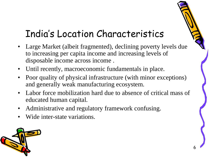# India's Location Characteristics

- Large Market (albeit fragmented), declining poverty levels due to increasing per capita income and increasing levels of disposable income across income .
- Until recently, macroeconomic fundamentals in place.
- Poor quality of physical infrastructure (with minor exceptions) and generally weak manufacturing ecosystem.
- Labor force mobilization hard due to absence of critical mass of educated human capital.
- Administrative and regulatory framework confusing.
- Wide inter-state variations.

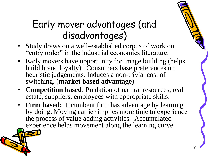## Early mover advantages (and disadvantages)

- Study draws on a well-established corpus of work on "entry order" in the industrial economics literature.
- Early movers have opportunity for image building (helps build brand loyalty). Consumers base preferences on heuristic judgements. Induces a non-trivial cost of switching. (**market based advantage**)
- **Competition based**: Predation of natural resources, real estate, suppliers, employees with appropriate skills.
- **Firm based**: Incumbent firm has advantage by learning by doing. Moving earlier implies more time to experience the process of value adding activities. Accumulated experience helps movement along the learning curve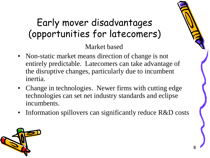# Early mover disadvantages (opportunities for latecomers)

Market based

- Non-static market means direction of change is not entirely predictable. Latecomers can take advantage of the disruptive changes, particularly due to incumbent inertia.
- Change in technologies. Newer firms with cutting edge technologies can set net industry standards and eclipse incumbents.
- Information spillovers can significantly reduce R&D costs

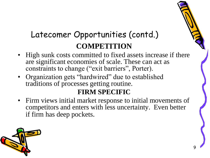#### Latecomer Opportunities (contd.) **COMPETITION**

- High sunk costs committed to fixed assets increase if there are significant economies of scale. These can act as constraints to change ("exit barriers", Porter).
- Organization gets "hardwired" due to established traditions of processes getting routine.

#### **FIRM SPECIFIC**

• Firm views initial market response to initial movements of competitors and enters with less uncertainty. Even better if firm has deep pockets.

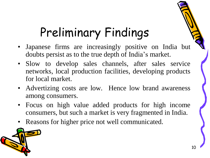# Preliminary Findings

- Japanese firms are increasingly positive on India but doubts persist as to the true depth of India's market.
- Slow to develop sales channels, after sales service networks, local production facilities, developing products for local market.
- Advertizing costs are low. Hence low brand awareness among consumers.
- Focus on high value added products for high income consumers, but such a market is very fragmented in India.
- Reasons for higher price not well communicated.

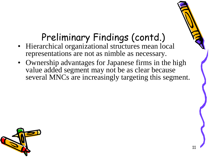## Preliminary Findings (contd.)

- Hierarchical organizational structures mean local representations are not as nimble as necessary.
- Ownership advantages for Japanese firms in the high value added segment may not be as clear because several MNCs are increasingly targeting this segment.

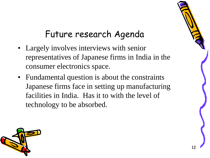#### Future research Agenda

- Largely involves interviews with senior representatives of Japanese firms in India in the consumer electronics space.
- Fundamental question is about the constraints Japanese firms face in setting up manufacturing facilities in India. Has it to with the level of technology to be absorbed.